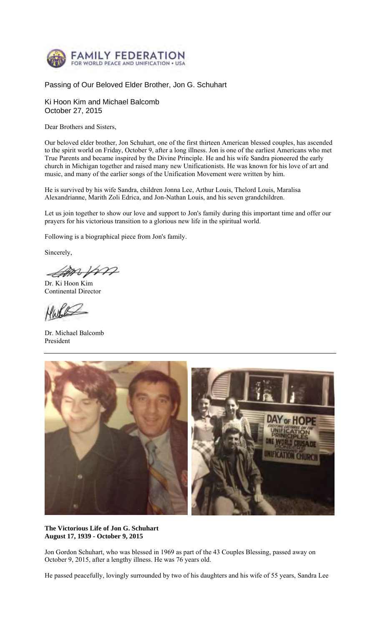

## Passing of Our Beloved Elder Brother, Jon G. Schuhart

Ki Hoon Kim and Michael Balcomb October 27, 2015

Dear Brothers and Sisters,

Our beloved elder brother, Jon Schuhart, one of the first thirteen American blessed couples, has ascended to the spirit world on Friday, October 9, after a long illness. Jon is one of the earliest Americans who met True Parents and became inspired by the Divine Principle. He and his wife Sandra pioneered the early church in Michigan together and raised many new Unificationists. He was known for his love of art and music, and many of the earlier songs of the Unification Movement were written by him.

He is survived by his wife Sandra, children Jonna Lee, Arthur Louis, Thelord Louis, Maralisa Alexandrianne, Marith Zoli Edrica, and Jon-Nathan Louis, and his seven grandchildren.

Let us join together to show our love and support to Jon's family during this important time and offer our prayers for his victorious transition to a glorious new life in the spiritual world.

Following is a biographical piece from Jon's family.

Sincerely,

Campos

Dr. Ki Hoon Kim Continental Director

rr

Dr. Michael Balcomb President



**The Victorious Life of Jon G. Schuhart August 17, 1939 - October 9, 2015**

Jon Gordon Schuhart, who was blessed in 1969 as part of the 43 Couples Blessing, passed away on October 9, 2015, after a lengthy illness. He was 76 years old.

He passed peacefully, lovingly surrounded by two of his daughters and his wife of 55 years, Sandra Lee